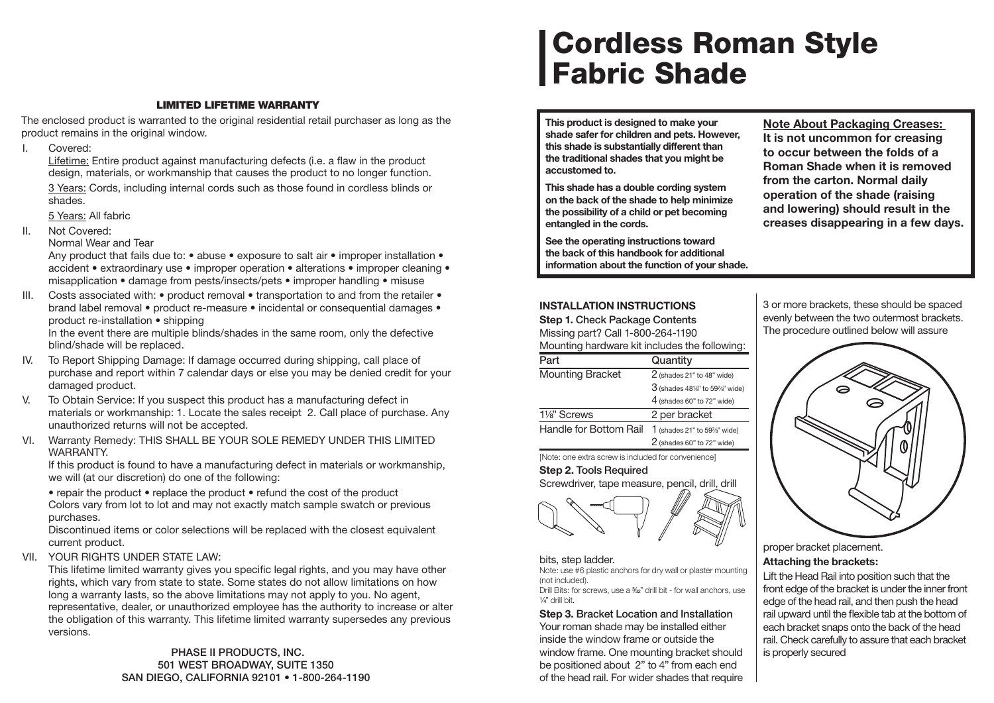# **LIMITED LIFETIME WARRANTY**

The enclosed product is warranted to the original residential retail purchaser as long as the product remains in the original window.

I. Covered:

Lifetime: Entire product against manufacturing defects (i.e. a flaw in the product design, materials, or workmanship that causes the product to no longer function. 3 Years: Cords, including internal cords such as those found in cordless blinds or shades.

5 Years: All fabric

- II. Not Covered:
	- Normal Wear and Tear

Any product that fails due to: • abuse • exposure to salt air • improper installation • accident • extraordinary use • improper operation • alterations • improper cleaning • misapplication • damage from pests/insects/pets • improper handling • misuse

III. Costs associated with: • product removal • transportation to and from the retailer • brand label removal • product re-measure • incidental or consequential damages • product re-installation • shipping

In the event there are multiple blinds/shades in the same room, only the defective blind/shade will be replaced.

- IV. To Report Shipping Damage: If damage occurred during shipping, call place of purchase and report within 7 calendar days or else you may be denied credit for your damaged product.
- V. To Obtain Service: If you suspect this product has a manufacturing defect in materials or workmanship: 1. Locate the sales receipt 2. Call place of purchase. Any unauthorized returns will not be accepted.
- VI. Warranty Remedy: THIS SHALL BE YOUR SOLE REMEDY UNDER THIS LIMITED WARRANTY.

If this product is found to have a manufacturing defect in materials or workmanship, we will (at our discretion) do one of the following:

• repair the product • replace the product • refund the cost of the product Colors vary from lot to lot and may not exactly match sample swatch or previous purchases.

Discontinued items or color selections will be replaced with the closest equivalent current product.

VII. YOUR RIGHTS UNDER STATE LAW:

This lifetime limited warranty gives you specific legal rights, and you may have other rights, which vary from state to state. Some states do not allow limitations on how long a warranty lasts, so the above limitations may not apply to you. No agent, representative, dealer, or unauthorized employee has the authority to increase or alter the obligation of this warranty. This lifetime limited warranty supersedes any previous versions.

> **PHASE II PRODUCTS, INC. 501 WEST BROADWAY, SUITE 1350 SAN DIEGO, CALIFORNIA 92101 • 1-800-264-1190**

# **Cordless Roman Style Fabric Shade**

**This product is designed to make your shade safer for children and pets. However, this shade is substantially different than the traditional shades that you might be accustomed to.** 

**This shade has a double cording system on the back of the shade to help minimize the possibility of a child or pet becoming entangled in the cords.** 

**See the operating instructions toward the back of this handbook for additional information about the function of your shade.** **Note About Packaging Creases: It is not uncommon for creasing to occur between the folds of a Roman Shade when it is removed from the carton. Normal daily operation of the shade (raising and lowering) should result in the creases disappearing in a few days.**

# **INSTALLATION INSTRUCTIONS**

**Step 1. Check Package Contents** Missing part? Call 1-800-264-1190 Mounting hardware kit includes the following:

| Part                    | Quantity                       |
|-------------------------|--------------------------------|
| <b>Mounting Bracket</b> | $2$ (shades 21" to 48" wide)   |
|                         | $3$ (shades 48%" to 59%" wide) |
|                         | $4$ (shades 60" to 72" wide)   |
| 1 <sup>/8"</sup> Screws | 2 per bracket                  |
| Handle for Bottom Rail  | 1 (shades 21" to 59%" wide)    |
|                         | $2$ (shades 60" to 72" wide)   |

[Note: one extra screw is included for convenience]

## **Step 2. Tools Required**

Screwdriver, tape measure, pencil, drill, drill



#### bits, step ladder.

Note: use #6 plastic anchors for dry wall or plaster mounting (not included). Drill Bits: for screws, use a 3⁄32" drill bit - for wall anchors, use

 $\frac{1}{4}$ " drill bit.

**Step 3. Bracket Location and Installation** Your roman shade may be installed either inside the window frame or outside the window frame. One mounting bracket should be positioned about 2" to 4" from each end of the head rail. For wider shades that require 3 or more brackets, these should be spaced evenly between the two outermost brackets. The procedure outlined below will assure



proper bracket placement. **Attaching the brackets:**

Lift the Head Rail into position such that the front edge of the bracket is under the inner front edge of the head rail, and then push the head rail upward until the flexible tab at the bottom of each bracket snaps onto the back of the head rail. Check carefully to assure that each bracket is properly secured